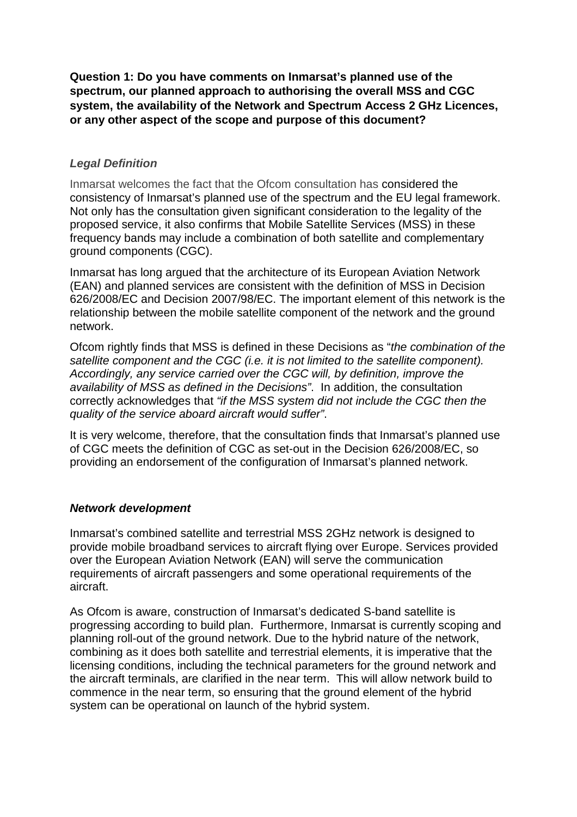**Question 1: Do you have comments on Inmarsat's planned use of the spectrum, our planned approach to authorising the overall MSS and CGC system, the availability of the Network and Spectrum Access 2 GHz Licences, or any other aspect of the scope and purpose of this document?**

# *Legal Definition*

Inmarsat welcomes the fact that the Ofcom consultation has considered the consistency of Inmarsat's planned use of the spectrum and the EU legal framework. Not only has the consultation given significant consideration to the legality of the proposed service, it also confirms that Mobile Satellite Services (MSS) in these frequency bands may include a combination of both satellite and complementary ground components (CGC).

Inmarsat has long argued that the architecture of its European Aviation Network (EAN) and planned services are consistent with the definition of MSS in Decision 626/2008/EC and Decision 2007/98/EC. The important element of this network is the relationship between the mobile satellite component of the network and the ground network.

Ofcom rightly finds that MSS is defined in these Decisions as "*the combination of the satellite component and the CGC (i.e. it is not limited to the satellite component). Accordingly, any service carried over the CGC will, by definition, improve the availability of MSS as defined in the Decisions"*. In addition, the consultation correctly acknowledges that *"if the MSS system did not include the CGC then the quality of the service aboard aircraft would suffer"*.

It is very welcome, therefore, that the consultation finds that Inmarsat's planned use of CGC meets the definition of CGC as set-out in the Decision 626/2008/EC, so providing an endorsement of the configuration of Inmarsat's planned network.

## *Network development*

Inmarsat's combined satellite and terrestrial MSS 2GHz network is designed to provide mobile broadband services to aircraft flying over Europe. Services provided over the European Aviation Network (EAN) will serve the communication requirements of aircraft passengers and some operational requirements of the aircraft.

As Ofcom is aware, construction of Inmarsat's dedicated S-band satellite is progressing according to build plan. Furthermore, Inmarsat is currently scoping and planning roll-out of the ground network. Due to the hybrid nature of the network, combining as it does both satellite and terrestrial elements, it is imperative that the licensing conditions, including the technical parameters for the ground network and the aircraft terminals, are clarified in the near term. This will allow network build to commence in the near term, so ensuring that the ground element of the hybrid system can be operational on launch of the hybrid system.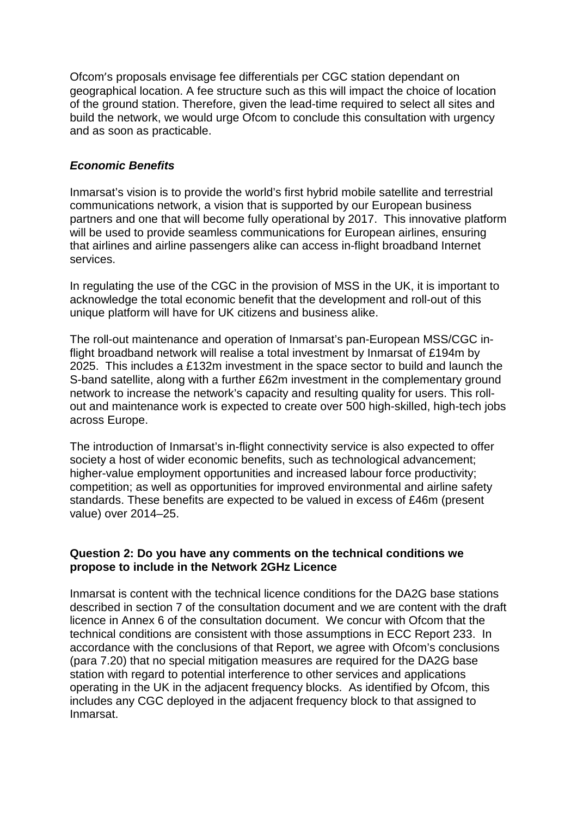Ofcom's proposals envisage fee differentials per CGC station dependant on geographical location. A fee structure such as this will impact the choice of location of the ground station. Therefore, given the lead-time required to select all sites and build the network, we would urge Ofcom to conclude this consultation with urgency and as soon as practicable.

## *Economic Benefits*

Inmarsat's vision is to provide the world's first hybrid mobile satellite and terrestrial communications network, a vision that is supported by our European business partners and one that will become fully operational by 2017. This innovative platform will be used to provide seamless communications for European airlines, ensuring that airlines and airline passengers alike can access in-flight broadband Internet services.

In regulating the use of the CGC in the provision of MSS in the UK, it is important to acknowledge the total economic benefit that the development and roll-out of this unique platform will have for UK citizens and business alike.

The roll-out maintenance and operation of Inmarsat's pan-European MSS/CGC inflight broadband network will realise a total investment by Inmarsat of £194m by 2025. This includes a £132m investment in the space sector to build and launch the S-band satellite, along with a further £62m investment in the complementary ground network to increase the network's capacity and resulting quality for users. This rollout and maintenance work is expected to create over 500 high-skilled, high-tech jobs across Europe.

The introduction of Inmarsat's in-flight connectivity service is also expected to offer society a host of wider economic benefits, such as technological advancement; higher-value employment opportunities and increased labour force productivity; competition; as well as opportunities for improved environmental and airline safety standards. These benefits are expected to be valued in excess of £46m (present value) over 2014–25.

### **Question 2: Do you have any comments on the technical conditions we propose to include in the Network 2GHz Licence**

Inmarsat is content with the technical licence conditions for the DA2G base stations described in section 7 of the consultation document and we are content with the draft licence in Annex 6 of the consultation document. We concur with Ofcom that the technical conditions are consistent with those assumptions in ECC Report 233. In accordance with the conclusions of that Report, we agree with Ofcom's conclusions (para 7.20) that no special mitigation measures are required for the DA2G base station with regard to potential interference to other services and applications operating in the UK in the adjacent frequency blocks. As identified by Ofcom, this includes any CGC deployed in the adjacent frequency block to that assigned to Inmarsat.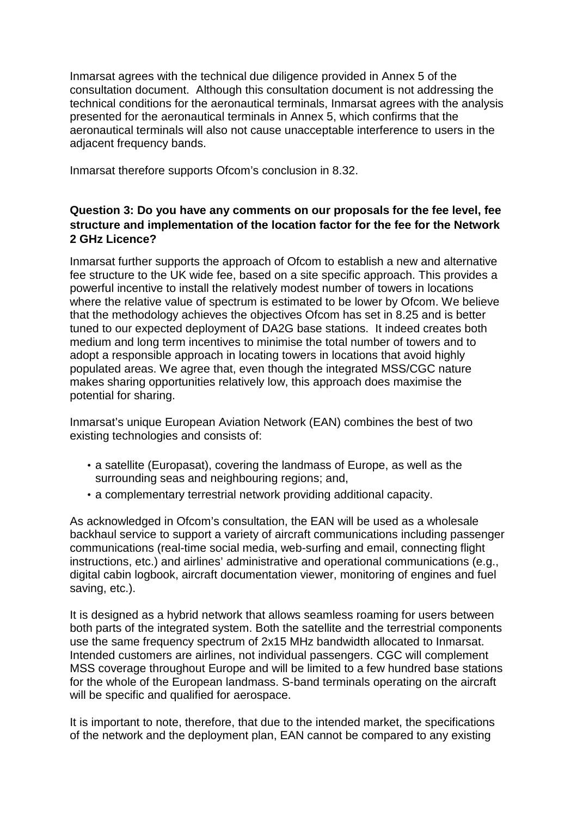Inmarsat agrees with the technical due diligence provided in Annex 5 of the consultation document. Although this consultation document is not addressing the technical conditions for the aeronautical terminals, Inmarsat agrees with the analysis presented for the aeronautical terminals in Annex 5, which confirms that the aeronautical terminals will also not cause unacceptable interference to users in the adjacent frequency bands.

Inmarsat therefore supports Ofcom's conclusion in 8.32.

# **Question 3: Do you have any comments on our proposals for the fee level, fee structure and implementation of the location factor for the fee for the Network 2 GHz Licence?**

Inmarsat further supports the approach of Ofcom to establish a new and alternative fee structure to the UK wide fee, based on a site specific approach. This provides a powerful incentive to install the relatively modest number of towers in locations where the relative value of spectrum is estimated to be lower by Ofcom. We believe that the methodology achieves the objectives Ofcom has set in 8.25 and is better tuned to our expected deployment of DA2G base stations. It indeed creates both medium and long term incentives to minimise the total number of towers and to adopt a responsible approach in locating towers in locations that avoid highly populated areas. We agree that, even though the integrated MSS/CGC nature makes sharing opportunities relatively low, this approach does maximise the potential for sharing.

Inmarsat's unique European Aviation Network (EAN) combines the best of two existing technologies and consists of:

- a satellite (Europasat), covering the landmass of Europe, as well as the surrounding seas and neighbouring regions; and,
- a complementary terrestrial network providing additional capacity.

As acknowledged in Ofcom's consultation, the EAN will be used as a wholesale backhaul service to support a variety of aircraft communications including passenger communications (real-time social media, web-surfing and email, connecting flight instructions, etc.) and airlines' administrative and operational communications (e.g., digital cabin logbook, aircraft documentation viewer, monitoring of engines and fuel saving, etc.).

It is designed as a hybrid network that allows seamless roaming for users between both parts of the integrated system. Both the satellite and the terrestrial components use the same frequency spectrum of 2x15 MHz bandwidth allocated to Inmarsat. Intended customers are airlines, not individual passengers. CGC will complement MSS coverage throughout Europe and will be limited to a few hundred base stations for the whole of the European landmass. S-band terminals operating on the aircraft will be specific and qualified for aerospace.

It is important to note, therefore, that due to the intended market, the specifications of the network and the deployment plan, EAN cannot be compared to any existing